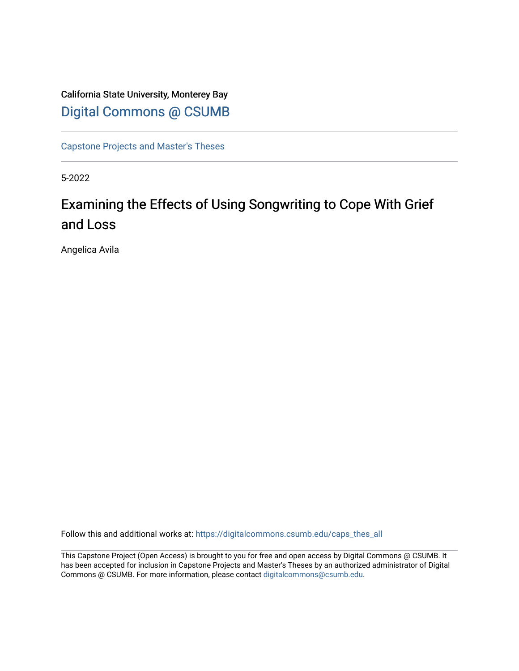# California State University, Monterey Bay [Digital Commons @ CSUMB](https://digitalcommons.csumb.edu/)

[Capstone Projects and Master's Theses](https://digitalcommons.csumb.edu/caps_thes_all)

5-2022

# Examining the Effects of Using Songwriting to Cope With Grief and Loss

Angelica Avila

Follow this and additional works at: [https://digitalcommons.csumb.edu/caps\\_thes\\_all](https://digitalcommons.csumb.edu/caps_thes_all?utm_source=digitalcommons.csumb.edu%2Fcaps_thes_all%2F1298&utm_medium=PDF&utm_campaign=PDFCoverPages)

This Capstone Project (Open Access) is brought to you for free and open access by Digital Commons @ CSUMB. It has been accepted for inclusion in Capstone Projects and Master's Theses by an authorized administrator of Digital Commons @ CSUMB. For more information, please contact [digitalcommons@csumb.edu](mailto:digitalcommons@csumb.edu).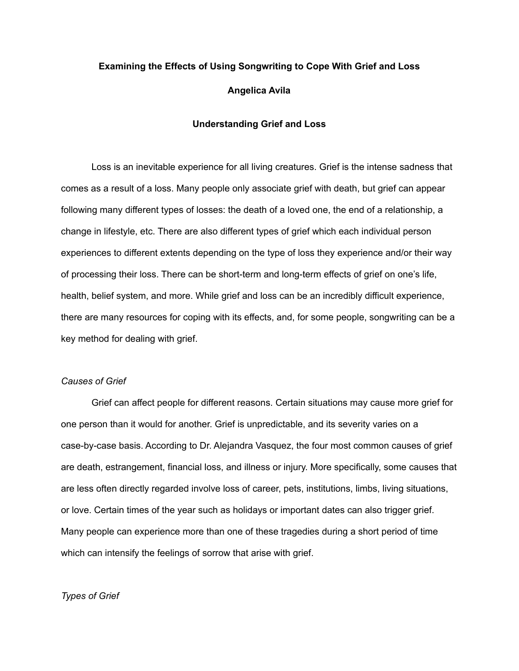# **Examining the Effects of Using Songwriting to Cope With Grief and Loss Angelica Avila**

### **Understanding Grief and Loss**

Loss is an inevitable experience for all living creatures. Grief is the intense sadness that comes as a result of a loss. Many people only associate grief with death, but grief can appear following many different types of losses: the death of a loved one, the end of a relationship, a change in lifestyle, etc. There are also different types of grief which each individual person experiences to different extents depending on the type of loss they experience and/or their way of processing their loss. There can be short-term and long-term effects of grief on one's life, health, belief system, and more. While grief and loss can be an incredibly difficult experience, there are many resources for coping with its effects, and, for some people, songwriting can be a key method for dealing with grief.

# *Causes of Grief*

Grief can affect people for different reasons. Certain situations may cause more grief for one person than it would for another. Grief is unpredictable, and its severity varies on a case-by-case basis. According to Dr. Alejandra Vasquez, the four most common causes of grief are death, estrangement, financial loss, and illness or injury. More specifically, some causes that are less often directly regarded involve loss of career, pets, institutions, limbs, living situations, or love. Certain times of the year such as holidays or important dates can also trigger grief. Many people can experience more than one of these tragedies during a short period of time which can intensify the feelings of sorrow that arise with grief.

# *Types of Grief*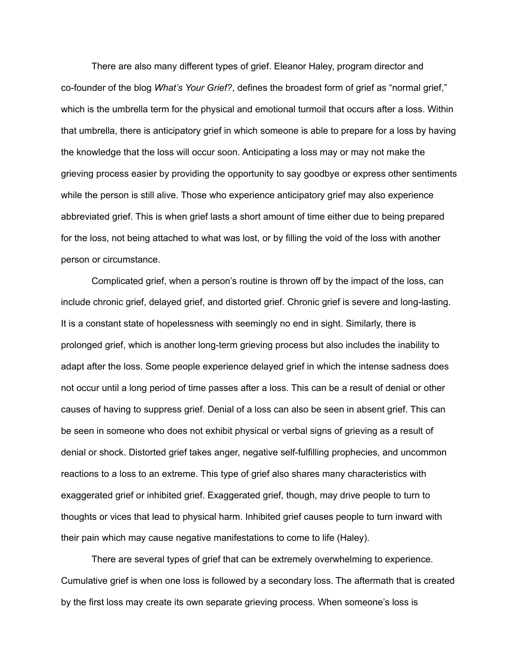There are also many different types of grief. Eleanor Haley, program director and co-founder of the blog *What's Your Grief?*, defines the broadest form of grief as "normal grief," which is the umbrella term for the physical and emotional turmoil that occurs after a loss. Within that umbrella, there is anticipatory grief in which someone is able to prepare for a loss by having the knowledge that the loss will occur soon. Anticipating a loss may or may not make the grieving process easier by providing the opportunity to say goodbye or express other sentiments while the person is still alive. Those who experience anticipatory grief may also experience abbreviated grief. This is when grief lasts a short amount of time either due to being prepared for the loss, not being attached to what was lost, or by filling the void of the loss with another person or circumstance.

Complicated grief, when a person's routine is thrown off by the impact of the loss, can include chronic grief, delayed grief, and distorted grief. Chronic grief is severe and long-lasting. It is a constant state of hopelessness with seemingly no end in sight. Similarly, there is prolonged grief, which is another long-term grieving process but also includes the inability to adapt after the loss. Some people experience delayed grief in which the intense sadness does not occur until a long period of time passes after a loss. This can be a result of denial or other causes of having to suppress grief. Denial of a loss can also be seen in absent grief. This can be seen in someone who does not exhibit physical or verbal signs of grieving as a result of denial or shock. Distorted grief takes anger, negative self-fulfilling prophecies, and uncommon reactions to a loss to an extreme. This type of grief also shares many characteristics with exaggerated grief or inhibited grief. Exaggerated grief, though, may drive people to turn to thoughts or vices that lead to physical harm. Inhibited grief causes people to turn inward with their pain which may cause negative manifestations to come to life (Haley).

There are several types of grief that can be extremely overwhelming to experience. Cumulative grief is when one loss is followed by a secondary loss. The aftermath that is created by the first loss may create its own separate grieving process. When someone's loss is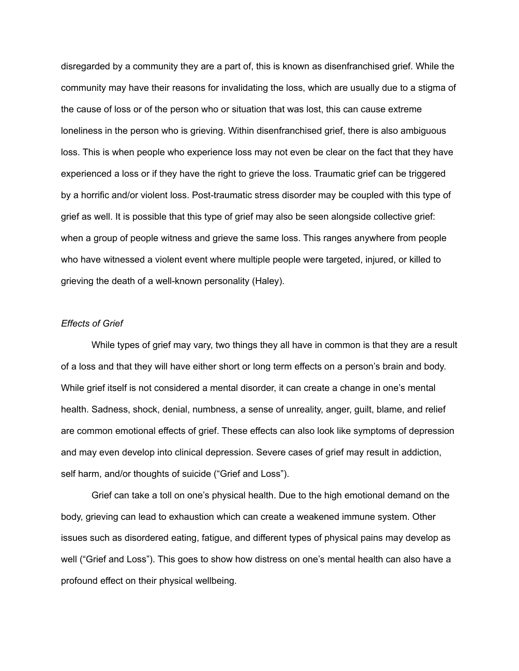disregarded by a community they are a part of, this is known as disenfranchised grief. While the community may have their reasons for invalidating the loss, which are usually due to a stigma of the cause of loss or of the person who or situation that was lost, this can cause extreme loneliness in the person who is grieving. Within disenfranchised grief, there is also ambiguous loss. This is when people who experience loss may not even be clear on the fact that they have experienced a loss or if they have the right to grieve the loss. Traumatic grief can be triggered by a horrific and/or violent loss. Post-traumatic stress disorder may be coupled with this type of grief as well. It is possible that this type of grief may also be seen alongside collective grief: when a group of people witness and grieve the same loss. This ranges anywhere from people who have witnessed a violent event where multiple people were targeted, injured, or killed to grieving the death of a well-known personality (Haley).

# *Effects of Grief*

While types of grief may vary, two things they all have in common is that they are a result of a loss and that they will have either short or long term effects on a person's brain and body. While grief itself is not considered a mental disorder, it can create a change in one's mental health. Sadness, shock, denial, numbness, a sense of unreality, anger, guilt, blame, and relief are common emotional effects of grief. These effects can also look like symptoms of depression and may even develop into clinical depression. Severe cases of grief may result in addiction, self harm, and/or thoughts of suicide ("Grief and Loss").

Grief can take a toll on one's physical health. Due to the high emotional demand on the body, grieving can lead to exhaustion which can create a weakened immune system. Other issues such as disordered eating, fatigue, and different types of physical pains may develop as well ("Grief and Loss"). This goes to show how distress on one's mental health can also have a profound effect on their physical wellbeing.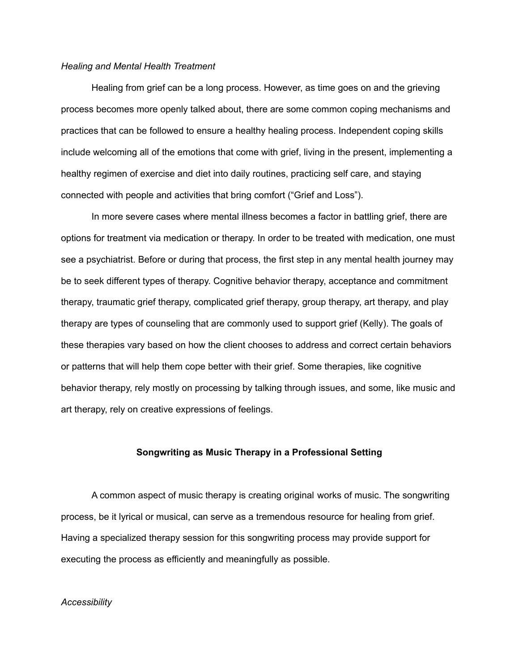#### *Healing and Mental Health Treatment*

Healing from grief can be a long process. However, as time goes on and the grieving process becomes more openly talked about, there are some common coping mechanisms and practices that can be followed to ensure a healthy healing process. Independent coping skills include welcoming all of the emotions that come with grief, living in the present, implementing a healthy regimen of exercise and diet into daily routines, practicing self care, and staying connected with people and activities that bring comfort ("Grief and Loss").

In more severe cases where mental illness becomes a factor in battling grief, there are options for treatment via medication or therapy. In order to be treated with medication, one must see a psychiatrist. Before or during that process, the first step in any mental health journey may be to seek different types of therapy. Cognitive behavior therapy, acceptance and commitment therapy, traumatic grief therapy, complicated grief therapy, group therapy, art therapy, and play therapy are types of counseling that are commonly used to support grief (Kelly). The goals of these therapies vary based on how the client chooses to address and correct certain behaviors or patterns that will help them cope better with their grief. Some therapies, like cognitive behavior therapy, rely mostly on processing by talking through issues, and some, like music and art therapy, rely on creative expressions of feelings.

# **Songwriting as Music Therapy in a Professional Setting**

A common aspect of music therapy is creating original works of music. The songwriting process, be it lyrical or musical, can serve as a tremendous resource for healing from grief. Having a specialized therapy session for this songwriting process may provide support for executing the process as efficiently and meaningfully as possible.

### *Accessibility*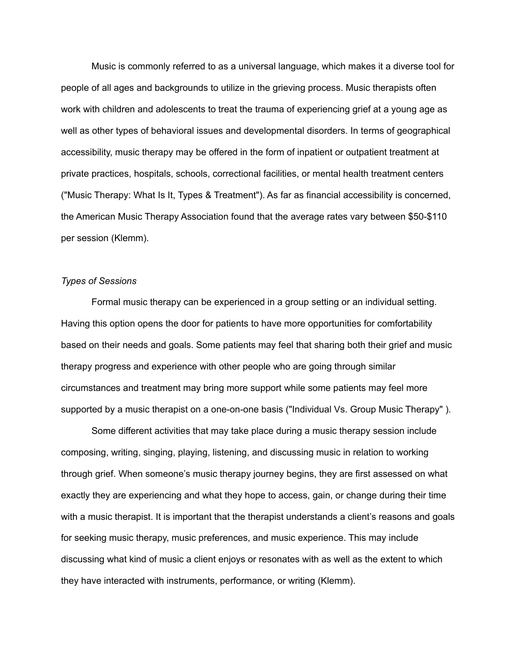Music is commonly referred to as a universal language, which makes it a diverse tool for people of all ages and backgrounds to utilize in the grieving process. Music therapists often work with children and adolescents to treat the trauma of experiencing grief at a young age as well as other types of behavioral issues and developmental disorders. In terms of geographical accessibility, music therapy may be offered in the form of inpatient or outpatient treatment at private practices, hospitals, schools, correctional facilities, or mental health treatment centers ("Music Therapy: What Is It, Types & Treatment"). As far as financial accessibility is concerned, the American Music Therapy Association found that the average rates vary between \$50-\$110 per session (Klemm).

# *Types of Sessions*

Formal music therapy can be experienced in a group setting or an individual setting. Having this option opens the door for patients to have more opportunities for comfortability based on their needs and goals. Some patients may feel that sharing both their grief and music therapy progress and experience with other people who are going through similar circumstances and treatment may bring more support while some patients may feel more supported by a music therapist on a one-on-one basis ("Individual Vs. Group Music Therapy").

Some different activities that may take place during a music therapy session include composing, writing, singing, playing, listening, and discussing music in relation to working through grief. When someone's music therapy journey begins, they are first assessed on what exactly they are experiencing and what they hope to access, gain, or change during their time with a music therapist. It is important that the therapist understands a client's reasons and goals for seeking music therapy, music preferences, and music experience. This may include discussing what kind of music a client enjoys or resonates with as well as the extent to which they have interacted with instruments, performance, or writing (Klemm).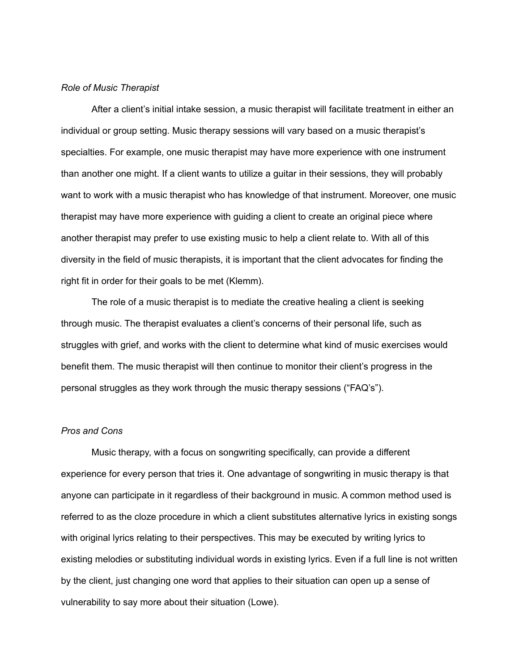#### *Role of Music Therapist*

After a client's initial intake session, a music therapist will facilitate treatment in either an individual or group setting. Music therapy sessions will vary based on a music therapist's specialties. For example, one music therapist may have more experience with one instrument than another one might. If a client wants to utilize a guitar in their sessions, they will probably want to work with a music therapist who has knowledge of that instrument. Moreover, one music therapist may have more experience with guiding a client to create an original piece where another therapist may prefer to use existing music to help a client relate to. With all of this diversity in the field of music therapists, it is important that the client advocates for finding the right fit in order for their goals to be met (Klemm).

The role of a music therapist is to mediate the creative healing a client is seeking through music. The therapist evaluates a client's concerns of their personal life, such as struggles with grief, and works with the client to determine what kind of music exercises would benefit them. The music therapist will then continue to monitor their client's progress in the personal struggles as they work through the music therapy sessions ("FAQ's").

# *Pros and Cons*

Music therapy, with a focus on songwriting specifically, can provide a different experience for every person that tries it. One advantage of songwriting in music therapy is that anyone can participate in it regardless of their background in music. A common method used is referred to as the cloze procedure in which a client substitutes alternative lyrics in existing songs with original lyrics relating to their perspectives. This may be executed by writing lyrics to existing melodies or substituting individual words in existing lyrics. Even if a full line is not written by the client, just changing one word that applies to their situation can open up a sense of vulnerability to say more about their situation (Lowe).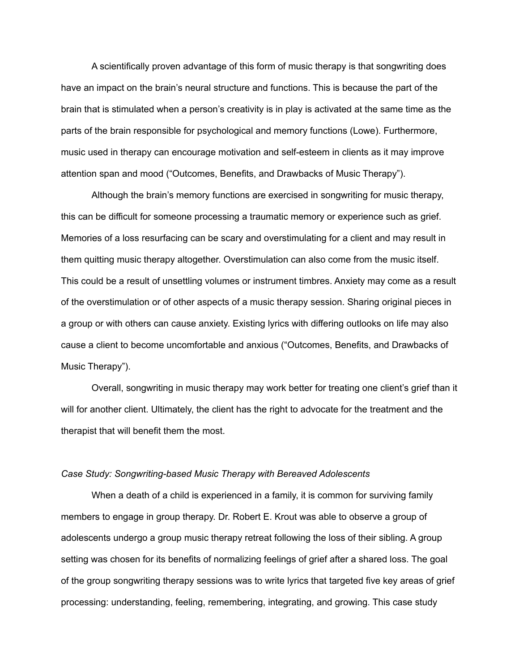A scientifically proven advantage of this form of music therapy is that songwriting does have an impact on the brain's neural structure and functions. This is because the part of the brain that is stimulated when a person's creativity is in play is activated at the same time as the parts of the brain responsible for psychological and memory functions (Lowe). Furthermore, music used in therapy can encourage motivation and self-esteem in clients as it may improve attention span and mood ("Outcomes, Benefits, and Drawbacks of Music Therapy").

Although the brain's memory functions are exercised in songwriting for music therapy, this can be difficult for someone processing a traumatic memory or experience such as grief. Memories of a loss resurfacing can be scary and overstimulating for a client and may result in them quitting music therapy altogether. Overstimulation can also come from the music itself. This could be a result of unsettling volumes or instrument timbres. Anxiety may come as a result of the overstimulation or of other aspects of a music therapy session. Sharing original pieces in a group or with others can cause anxiety. Existing lyrics with differing outlooks on life may also cause a client to become uncomfortable and anxious ("Outcomes, Benefits, and Drawbacks of Music Therapy").

Overall, songwriting in music therapy may work better for treating one client's grief than it will for another client. Ultimately, the client has the right to advocate for the treatment and the therapist that will benefit them the most.

#### *Case Study: Songwriting-based Music Therapy with Bereaved Adolescents*

When a death of a child is experienced in a family, it is common for surviving family members to engage in group therapy. Dr. Robert E. Krout was able to observe a group of adolescents undergo a group music therapy retreat following the loss of their sibling. A group setting was chosen for its benefits of normalizing feelings of grief after a shared loss. The goal of the group songwriting therapy sessions was to write lyrics that targeted five key areas of grief processing: understanding, feeling, remembering, integrating, and growing. This case study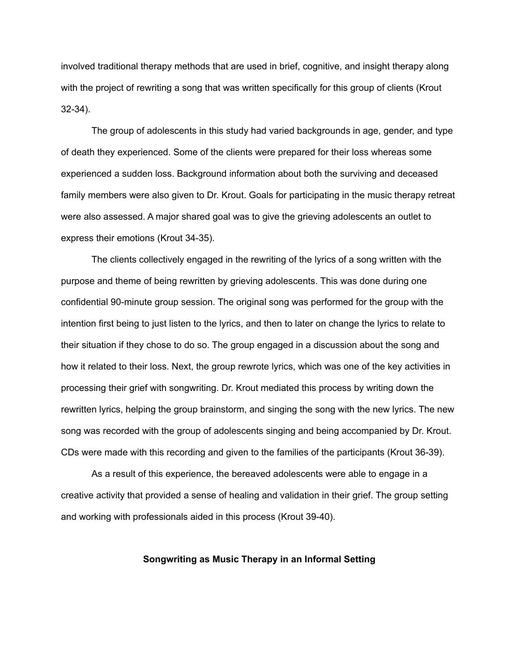involved traditional therapy methods that are used in brief, cognitive, and insight therapy along with the project of rewriting a song that was written specifically for this group of clients (Krout 32-34).

The group of adolescents in this study had varied backgrounds in age, gender, and type of death they experienced. Some of the clients were prepared for their loss whereas some experienced a sudden loss. Background information about both the surviving and deceased family members were also given to Dr. Krout. Goals for participating in the music therapy retreat were also assessed. A major shared goal was to give the grieving adolescents an outlet to express their emotions (Krout 34-35).

The clients collectively engaged in the rewriting of the lyrics of a song written with the purpose and theme of being rewritten by grieving adolescents. This was done during one confidential 90-minute group session. The original song was performed for the group with the intention first being to just listen to the lyrics, and then to later on change the lyrics to relate to their situation if they chose to do so. The group engaged in a discussion about the song and how it related to their loss. Next, the group rewrote lyrics, which was one of the key activities in processing their grief with songwriting. Dr. Krout mediated this process by writing down the rewritten lyrics, helping the group brainstorm, and singing the song with the new lyrics. The new song was recorded with the group of adolescents singing and being accompanied by Dr. Krout. CDs were made with this recording and given to the families of the participants (Krout 36-39).

As a result of this experience, the bereaved adolescents were able to engage in a creative activity that provided a sense of healing and validation in their grief. The group setting and working with professionals aided in this process (Krout 39-40).

# **Songwriting as Music Therapy in an Informal Setting**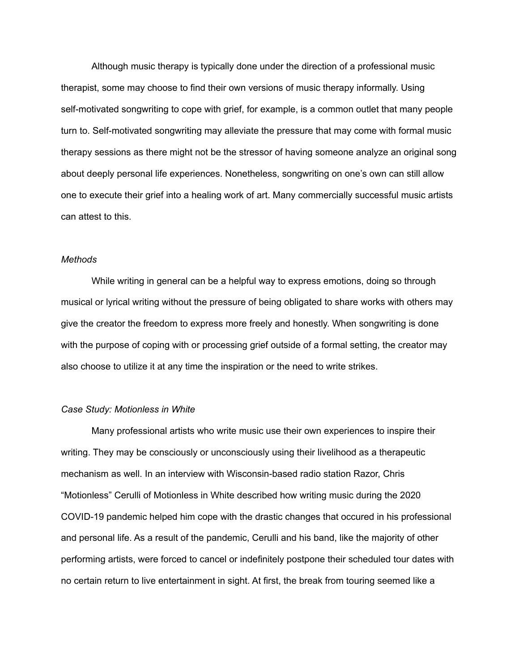Although music therapy is typically done under the direction of a professional music therapist, some may choose to find their own versions of music therapy informally. Using self-motivated songwriting to cope with grief, for example, is a common outlet that many people turn to. Self-motivated songwriting may alleviate the pressure that may come with formal music therapy sessions as there might not be the stressor of having someone analyze an original song about deeply personal life experiences. Nonetheless, songwriting on one's own can still allow one to execute their grief into a healing work of art. Many commercially successful music artists can attest to this.

### *Methods*

While writing in general can be a helpful way to express emotions, doing so through musical or lyrical writing without the pressure of being obligated to share works with others may give the creator the freedom to express more freely and honestly. When songwriting is done with the purpose of coping with or processing grief outside of a formal setting, the creator may also choose to utilize it at any time the inspiration or the need to write strikes.

#### *Case Study: Motionless in White*

Many professional artists who write music use their own experiences to inspire their writing. They may be consciously or unconsciously using their livelihood as a therapeutic mechanism as well. In an interview with Wisconsin-based radio station Razor, Chris "Motionless" Cerulli of Motionless in White described how writing music during the 2020 COVID-19 pandemic helped him cope with the drastic changes that occured in his professional and personal life. As a result of the pandemic, Cerulli and his band, like the majority of other performing artists, were forced to cancel or indefinitely postpone their scheduled tour dates with no certain return to live entertainment in sight. At first, the break from touring seemed like a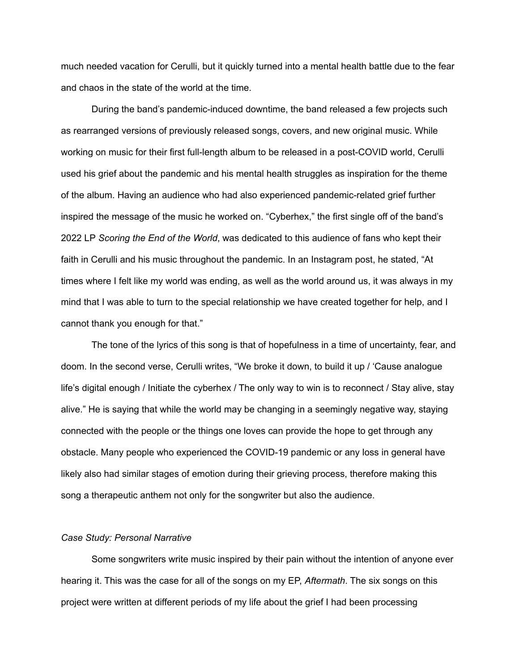much needed vacation for Cerulli, but it quickly turned into a mental health battle due to the fear and chaos in the state of the world at the time.

During the band's pandemic-induced downtime, the band released a few projects such as rearranged versions of previously released songs, covers, and new original music. While working on music for their first full-length album to be released in a post-COVID world, Cerulli used his grief about the pandemic and his mental health struggles as inspiration for the theme of the album. Having an audience who had also experienced pandemic-related grief further inspired the message of the music he worked on. "Cyberhex," the first single off of the band's 2022 LP *Scoring the End of the World*, was dedicated to this audience of fans who kept their faith in Cerulli and his music throughout the pandemic. In an Instagram post, he stated, "At times where I felt like my world was ending, as well as the world around us, it was always in my mind that I was able to turn to the special relationship we have created together for help, and I cannot thank you enough for that."

The tone of the lyrics of this song is that of hopefulness in a time of uncertainty, fear, and doom. In the second verse, Cerulli writes, "We broke it down, to build it up / 'Cause analogue life's digital enough / Initiate the cyberhex / The only way to win is to reconnect / Stay alive, stay alive." He is saying that while the world may be changing in a seemingly negative way, staying connected with the people or the things one loves can provide the hope to get through any obstacle. Many people who experienced the COVID-19 pandemic or any loss in general have likely also had similar stages of emotion during their grieving process, therefore making this song a therapeutic anthem not only for the songwriter but also the audience.

### *Case Study: Personal Narrative*

Some songwriters write music inspired by their pain without the intention of anyone ever hearing it. This was the case for all of the songs on my EP, *Aftermath*. The six songs on this project were written at different periods of my life about the grief I had been processing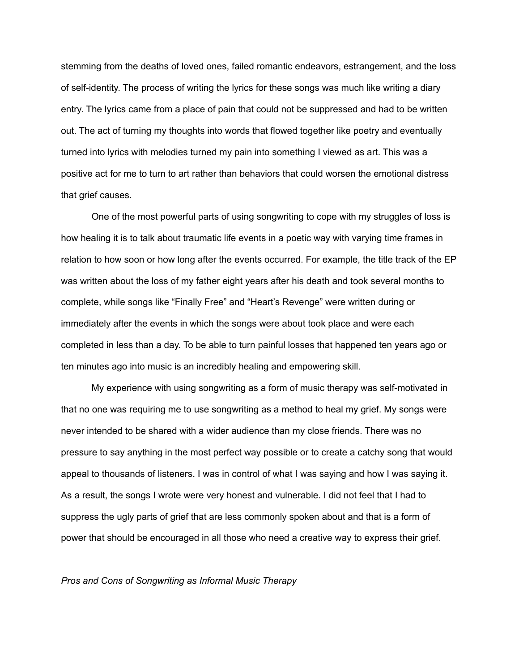stemming from the deaths of loved ones, failed romantic endeavors, estrangement, and the loss of self-identity. The process of writing the lyrics for these songs was much like writing a diary entry. The lyrics came from a place of pain that could not be suppressed and had to be written out. The act of turning my thoughts into words that flowed together like poetry and eventually turned into lyrics with melodies turned my pain into something I viewed as art. This was a positive act for me to turn to art rather than behaviors that could worsen the emotional distress that grief causes.

One of the most powerful parts of using songwriting to cope with my struggles of loss is how healing it is to talk about traumatic life events in a poetic way with varying time frames in relation to how soon or how long after the events occurred. For example, the title track of the EP was written about the loss of my father eight years after his death and took several months to complete, while songs like "Finally Free" and "Heart's Revenge" were written during or immediately after the events in which the songs were about took place and were each completed in less than a day. To be able to turn painful losses that happened ten years ago or ten minutes ago into music is an incredibly healing and empowering skill.

My experience with using songwriting as a form of music therapy was self-motivated in that no one was requiring me to use songwriting as a method to heal my grief. My songs were never intended to be shared with a wider audience than my close friends. There was no pressure to say anything in the most perfect way possible or to create a catchy song that would appeal to thousands of listeners. I was in control of what I was saying and how I was saying it. As a result, the songs I wrote were very honest and vulnerable. I did not feel that I had to suppress the ugly parts of grief that are less commonly spoken about and that is a form of power that should be encouraged in all those who need a creative way to express their grief.

#### *Pros and Cons of Songwriting as Informal Music Therapy*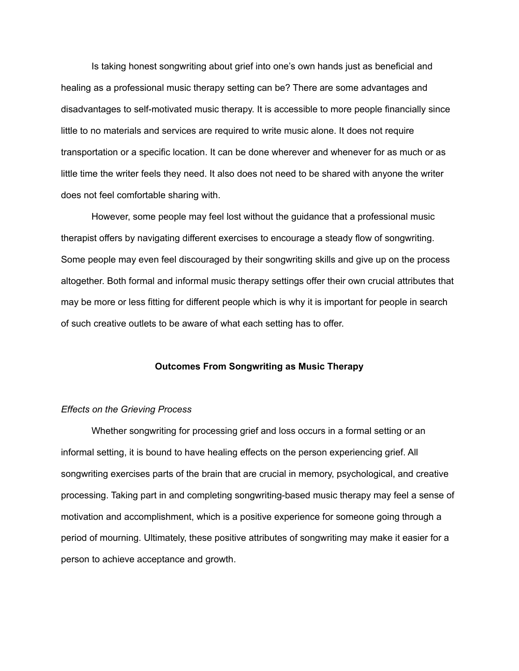Is taking honest songwriting about grief into one's own hands just as beneficial and healing as a professional music therapy setting can be? There are some advantages and disadvantages to self-motivated music therapy. It is accessible to more people financially since little to no materials and services are required to write music alone. It does not require transportation or a specific location. It can be done wherever and whenever for as much or as little time the writer feels they need. It also does not need to be shared with anyone the writer does not feel comfortable sharing with.

However, some people may feel lost without the guidance that a professional music therapist offers by navigating different exercises to encourage a steady flow of songwriting. Some people may even feel discouraged by their songwriting skills and give up on the process altogether. Both formal and informal music therapy settings offer their own crucial attributes that may be more or less fitting for different people which is why it is important for people in search of such creative outlets to be aware of what each setting has to offer.

#### **Outcomes From Songwriting as Music Therapy**

#### *Effects on the Grieving Process*

Whether songwriting for processing grief and loss occurs in a formal setting or an informal setting, it is bound to have healing effects on the person experiencing grief. All songwriting exercises parts of the brain that are crucial in memory, psychological, and creative processing. Taking part in and completing songwriting-based music therapy may feel a sense of motivation and accomplishment, which is a positive experience for someone going through a period of mourning. Ultimately, these positive attributes of songwriting may make it easier for a person to achieve acceptance and growth.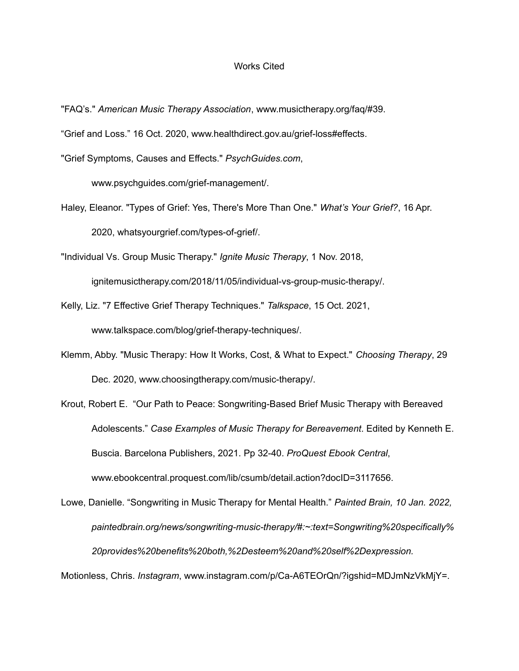#### Works Cited

- "FAQ's." *American Music Therapy Association*, www.musictherapy.org/faq/#39.
- "Grief and Loss." 16 Oct. 2020, www.healthdirect.gov.au/grief-loss#effects.

"Grief Symptoms, Causes and Effects." *PsychGuides.com*,

www.psychguides.com/grief-management/.

Haley, Eleanor. "Types of Grief: Yes, There's More Than One." *What's Your Grief?*, 16 Apr. 2020, whatsyourgrief.com/types-of-grief/.

"Individual Vs. Group Music Therapy." *Ignite Music Therapy*, 1 Nov. 2018,

ignitemusictherapy.com/2018/11/05/individual-vs-group-music-therapy/.

- Kelly, Liz. "7 Effective Grief Therapy Techniques." *Talkspace*, 15 Oct. 2021, www.talkspace.com/blog/grief-therapy-techniques/.
- Klemm, Abby. "Music Therapy: How It Works, Cost, & What to Expect." *Choosing Therapy*, 29 Dec. 2020, www.choosingtherapy.com/music-therapy/.
- Krout, Robert E. "Our Path to Peace: Songwriting-Based Brief Music Therapy with Bereaved Adolescents." *Case Examples of Music Therapy for Bereavement*. Edited by Kenneth E. Buscia. Barcelona Publishers, 2021. Pp 32-40. *ProQuest Ebook Central*, www.ebookcentral.proquest.com/lib/csumb/detail.action?docID=3117656.
- Lowe, Danielle. "Songwriting in Music Therapy for Mental Health." *Painted Brain, 10 Jan. 2022, paintedbrain.org/news/songwriting-music-therapy/#:~:text=Songwriting%20specifically% 20provides%20benefits%20both,%2Desteem%20and%20self%2Dexpression.*

Motionless, Chris. *Instagram*, www.instagram.com/p/Ca-A6TEOrQn/?igshid=MDJmNzVkMjY=.